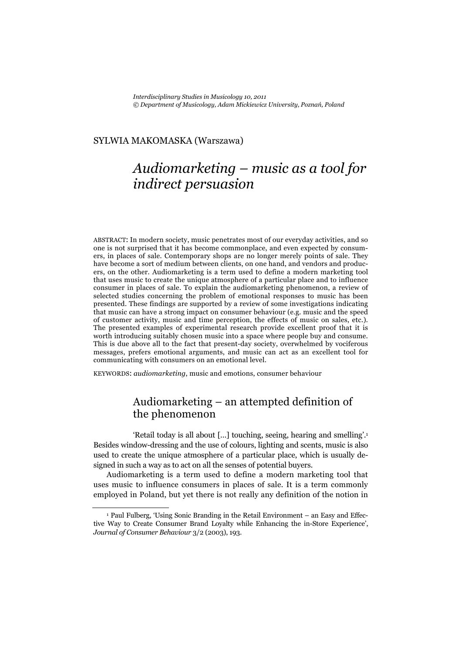#### SYLWIA MAKOMASKA (Warszawa)

# *Audiomarketing – music as a tool for indirect persuasion*

ABSTRACT: In modern society, music penetrates most of our everyday activities, and so one is not surprised that it has become commonplace, and even expected by consumers, in places of sale. Contemporary shops are no longer merely points of sale. They have become a sort of medium between clients, on one hand, and vendors and producers, on the other. Audiomarketing is a term used to define a modern marketing tool that uses music to create the unique atmosphere of a particular place and to influence consumer in places of sale. To explain the audiomarketing phenomenon, a review of selected studies concerning the problem of emotional responses to music has been presented. These findings are supported by a review of some investigations indicating that music can have a strong impact on consumer behaviour (e.g. music and the speed of customer activity, music and time perception, the effects of music on sales, etc.). The presented examples of experimental research provide excellent proof that it is worth introducing suitably chosen music into a space where people buy and consume. This is due above all to the fact that present-day society, overwhelmed by vociferous messages, prefers emotional arguments, and music can act as an excellent tool for communicating with consumers on an emotional level.

KEYWORDS: *audiomarketing*, music and emotions, consumer behaviour

# Audiomarketing – an attempted definition of the phenomenon

'Retail today is all about […] touching, seeing, hearing and smelling'.1 Besides window-dressing and the use of colours, lighting and scents, music is also used to create the unique atmosphere of a particular place, which is usually designed in such a way as to act on all the senses of potential buyers.

Audiomarketing is a term used to define a modern marketing tool that uses music to influence consumers in places of sale. It is a term commonly employed in Poland, but yet there is not really any definition of the notion in

<sup>1</sup> Paul Fulberg, 'Using Sonic Branding in the Retail Environment – an Easy and Effective Way to Create Consumer Brand Loyalty while Enhancing the in-Store Experience', *Journal of Consumer Behaviour* 3/2 (2003), 193.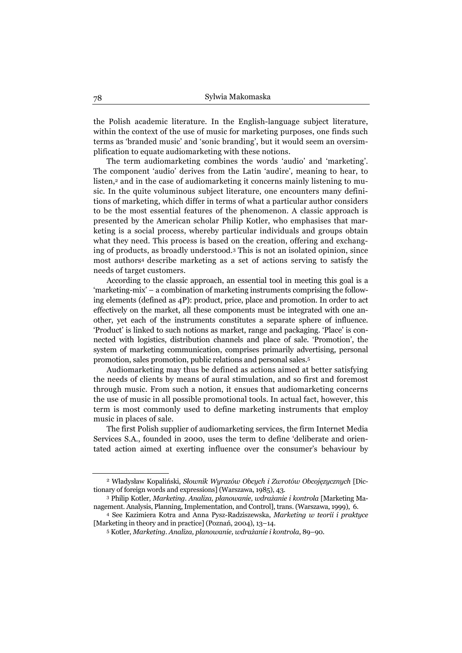the Polish academic literature. In the English-language subject literature, within the context of the use of music for marketing purposes, one finds such terms as 'branded music' and 'sonic branding', but it would seem an oversimplification to equate audiomarketing with these notions.

The term audiomarketing combines the words 'audio' and 'marketing'. The component 'audio' derives from the Latin 'audire', meaning to hear, to listen,<sup>2</sup> and in the case of audiomarketing it concerns mainly listening to music. In the quite voluminous subject literature, one encounters many definitions of marketing, which differ in terms of what a particular author considers to be the most essential features of the phenomenon. A classic approach is presented by the American scholar Philip Kotler, who emphasises that marketing is a social process, whereby particular individuals and groups obtain what they need. This process is based on the creation, offering and exchanging of products, as broadly understood.3 This is not an isolated opinion, since most authors4 describe marketing as a set of actions serving to satisfy the needs of target customers.

According to the classic approach, an essential tool in meeting this goal is a 'marketing-mix' – a combination of marketing instruments comprising the following elements (defined as 4P): product, price, place and promotion. In order to act effectively on the market, all these components must be integrated with one another, yet each of the instruments constitutes a separate sphere of influence. 'Product' is linked to such notions as market, range and packaging. 'Place' is connected with logistics, distribution channels and place of sale. 'Promotion', the system of marketing communication, comprises primarily advertising, personal promotion, sales promotion, public relations and personal sales.5

Audiomarketing may thus be defined as actions aimed at better satisfying the needs of clients by means of aural stimulation, and so first and foremost through music. From such a notion, it ensues that audiomarketing concerns the use of music in all possible promotional tools. In actual fact, however, this term is most commonly used to define marketing instruments that employ music in places of sale.

The first Polish supplier of audiomarketing services, the firm Internet Media Services S.A., founded in 2000, uses the term to define 'deliberate and orientated action aimed at exerting influence over the consumer's behaviour by

<sup>2</sup> Władysław Kopaliński, *Słownik Wyrazów Obcych i Zwrotów Obcojęzycznych* [Dictionary of foreign words and expressions] (Warszawa, 1985), 43. 3 Philip Kotler, *Marketing. Analiza, planowanie, wdrażanie i kontrola* [Marketing Ma-

nagement. Analysis, Planning, Implementation, and Control], trans. (Warszawa, 1999), 6. 4 See Kazimiera Kotra and Anna Pysz-Radziszewska, *Marketing w teorii i praktyce* 

<sup>[</sup>Marketing in theory and in practice] (Poznań, 2004), 13–14.

<sup>5</sup> Kotler, *Marketing. Analiza, planowanie, wdrażanie i kontrola*, 89–90.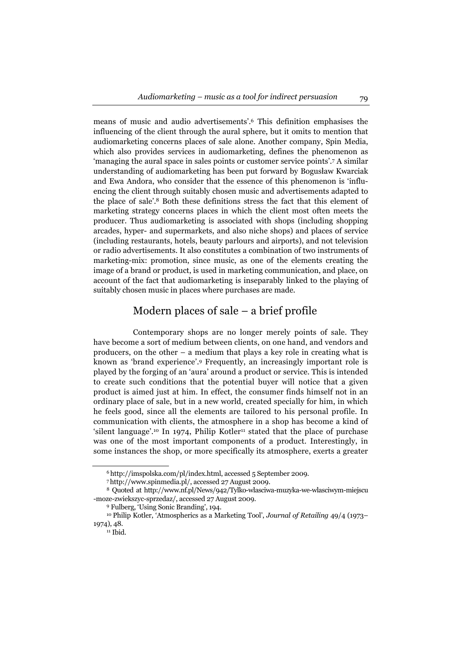means of music and audio advertisements'.6 This definition emphasises the influencing of the client through the aural sphere, but it omits to mention that audiomarketing concerns places of sale alone. Another company, Spin Media, which also provides services in audiomarketing, defines the phenomenon as 'managing the aural space in sales points or customer service points'.7 A similar understanding of audiomarketing has been put forward by Bogusław Kwarciak and Ewa Andora, who consider that the essence of this phenomenon is 'influencing the client through suitably chosen music and advertisements adapted to the place of sale'.8 Both these definitions stress the fact that this element of marketing strategy concerns places in which the client most often meets the producer. Thus audiomarketing is associated with shops (including shopping arcades, hyper- and supermarkets, and also niche shops) and places of service (including restaurants, hotels, beauty parlours and airports), and not television or radio advertisements. It also constitutes a combination of two instruments of marketing-mix: promotion, since music, as one of the elements creating the image of a brand or product, is used in marketing communication, and place, on account of the fact that audiomarketing is inseparably linked to the playing of suitably chosen music in places where purchases are made.

#### Modern places of sale – a brief profile

Contemporary shops are no longer merely points of sale. They have become a sort of medium between clients, on one hand, and vendors and producers, on the other – a medium that plays a key role in creating what is known as 'brand experience'.9 Frequently, an increasingly important role is played by the forging of an 'aura' around a product or service. This is intended to create such conditions that the potential buyer will notice that a given product is aimed just at him. In effect, the consumer finds himself not in an ordinary place of sale, but in a new world, created specially for him, in which he feels good, since all the elements are tailored to his personal profile. In communication with clients, the atmosphere in a shop has become a kind of 'silent language'.<sup>10</sup> In 1974, Philip Kotler<sup>11</sup> stated that the place of purchase was one of the most important components of a product. Interestingly, in some instances the shop, or more specifically its atmosphere, exerts a greater

<sup>6</sup> http://imspolska.com/pl/index.html, accessed 5 September 2009. 7 http://www.spinmedia.pl/, accessed 27 August 2009.

<sup>8</sup> Quoted at http://www.nf.pl/News/942/Tylko-wlasciwa-muzyka-we-wlasciwym-miejscu -moze-zwiekszyc-sprzedaz/, accessed 27 August 2009. 9 Fulberg, 'Using Sonic Branding', 194.

<sup>10</sup> Philip Kotler, 'Atmospherics as a Marketing Tool', *Journal of Retailing* 49/4 (1973– 1974), 48.<br><sup>11</sup> Ibid.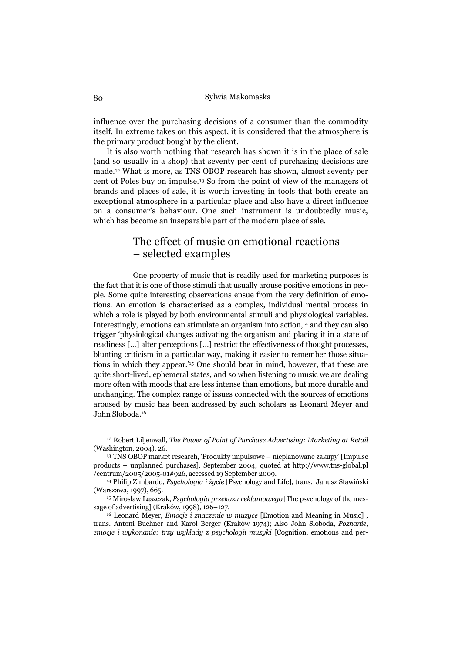influence over the purchasing decisions of a consumer than the commodity itself. In extreme takes on this aspect, it is considered that the atmosphere is the primary product bought by the client.

It is also worth nothing that research has shown it is in the place of sale (and so usually in a shop) that seventy per cent of purchasing decisions are made.12 What is more, as TNS OBOP research has shown, almost seventy per cent of Poles buy on impulse.13 So from the point of view of the managers of brands and places of sale, it is worth investing in tools that both create an exceptional atmosphere in a particular place and also have a direct influence on a consumer's behaviour. One such instrument is undoubtedly music, which has become an inseparable part of the modern place of sale.

# The effect of music on emotional reactions – selected examples

One property of music that is readily used for marketing purposes is the fact that it is one of those stimuli that usually arouse positive emotions in people. Some quite interesting observations ensue from the very definition of emotions. An emotion is characterised as a complex, individual mental process in which a role is played by both environmental stimuli and physiological variables. Interestingly, emotions can stimulate an organism into action,14 and they can also trigger 'physiological changes activating the organism and placing it in a state of readiness […] alter perceptions […] restrict the effectiveness of thought processes, blunting criticism in a particular way, making it easier to remember those situations in which they appear.'15 One should bear in mind, however, that these are quite short-lived, ephemeral states, and so when listening to music we are dealing more often with moods that are less intense than emotions, but more durable and unchanging. The complex range of issues connected with the sources of emotions aroused by music has been addressed by such scholars as Leonard Meyer and John Sloboda.16

<sup>12</sup> Robert Liljenwall, *The Power of Point of Purchase Advertising: Marketing at Retail* (Washington, 2004), 26. 13 TNS OBOP market research, 'Produkty impulsowe – nieplanowane zakupy' [Impulse

products – unplanned purchases], September 2004, quoted at http://www.tns-global.pl /centrum/2005/2005-01#926, accessed 19 September 2009. 14 Philip Zimbardo, *Psychologia i życie* [Psychology and Life], trans. Janusz Stawiński

<sup>(</sup>Warszawa, 1997), 665. 15 Mirosław Laszczak, *Psychologia przekazu reklamowego* [The psychology of the mes-

sage of advertising] (Kraków, 1998), 126–127. 16 Leonard Meyer, *Emocje i znaczenie w muzyce* [Emotion and Meaning in Music] ,

trans. Antoni Buchner and Karol Berger (Kraków 1974); Also John Sloboda, *Poznanie, emocje i wykonanie: trzy wykłady z psychologii muzyki* [Cognition, emotions and per-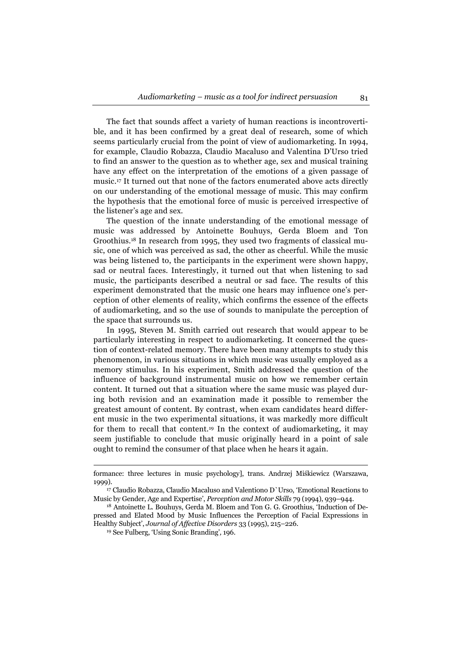The fact that sounds affect a variety of human reactions is incontrovertible, and it has been confirmed by a great deal of research, some of which seems particularly crucial from the point of view of audiomarketing. In 1994, for example, Claudio Robazza, Claudio Macaluso and Valentina D'Urso tried to find an answer to the question as to whether age, sex and musical training have any effect on the interpretation of the emotions of a given passage of music.17 It turned out that none of the factors enumerated above acts directly on our understanding of the emotional message of music. This may confirm the hypothesis that the emotional force of music is perceived irrespective of the listener's age and sex.

The question of the innate understanding of the emotional message of music was addressed by Antoinette Bouhuys, Gerda Bloem and Ton Groothius.18 In research from 1995, they used two fragments of classical music, one of which was perceived as sad, the other as cheerful. While the music was being listened to, the participants in the experiment were shown happy, sad or neutral faces. Interestingly, it turned out that when listening to sad music, the participants described a neutral or sad face. The results of this experiment demonstrated that the music one hears may influence one's perception of other elements of reality, which confirms the essence of the effects of audiomarketing, and so the use of sounds to manipulate the perception of the space that surrounds us.

In 1995, Steven M. Smith carried out research that would appear to be particularly interesting in respect to audiomarketing. It concerned the question of context-related memory. There have been many attempts to study this phenomenon, in various situations in which music was usually employed as a memory stimulus. In his experiment, Smith addressed the question of the influence of background instrumental music on how we remember certain content. It turned out that a situation where the same music was played during both revision and an examination made it possible to remember the greatest amount of content. By contrast, when exam candidates heard different music in the two experimental situations, it was markedly more difficult for them to recall that content.19 In the context of audiomarketing, it may seem justifiable to conclude that music originally heard in a point of sale ought to remind the consumer of that place when he hears it again.

 $\overline{a}$ 

formance: three lectures in music psychology], trans. Andrzej Miśkiewicz (Warszawa, 1999). 17 Claudio Robazza, Claudio Macaluso and Valentiono D`Urso, 'Emotional Reactions to

Music by Gender, Age and Expertise', *Perception and Motor Skills* 79 (1994), 939–944. 18 Antoinette L. Bouhuys, Gerda M. Bloem and Ton G. G. Groothius, 'Induction of De-

pressed and Elated Mood by Music Influences the Perception of Facial Expressions in Healthy Subject', *Journal of Affective Disorders* 33 (1995), 215–226. 19 See Fulberg, 'Using Sonic Branding'*,* 196.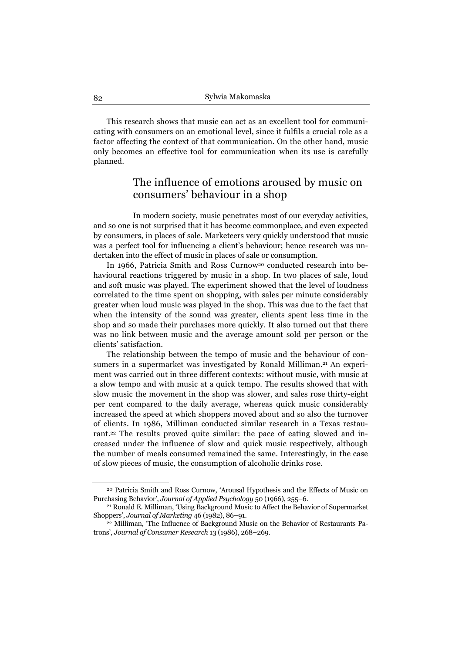This research shows that music can act as an excellent tool for communicating with consumers on an emotional level, since it fulfils a crucial role as a factor affecting the context of that communication. On the other hand, music only becomes an effective tool for communication when its use is carefully planned.

# The influence of emotions aroused by music on consumers' behaviour in a shop

In modern society, music penetrates most of our everyday activities, and so one is not surprised that it has become commonplace, and even expected by consumers, in places of sale. Marketeers very quickly understood that music was a perfect tool for influencing a client's behaviour; hence research was undertaken into the effect of music in places of sale or consumption.

In 1966, Patricia Smith and Ross Curnow<sup>20</sup> conducted research into behavioural reactions triggered by music in a shop. In two places of sale, loud and soft music was played. The experiment showed that the level of loudness correlated to the time spent on shopping, with sales per minute considerably greater when loud music was played in the shop. This was due to the fact that when the intensity of the sound was greater, clients spent less time in the shop and so made their purchases more quickly. It also turned out that there was no link between music and the average amount sold per person or the clients' satisfaction.

The relationship between the tempo of music and the behaviour of consumers in a supermarket was investigated by Ronald Milliman.<sup>21</sup> An experiment was carried out in three different contexts: without music, with music at a slow tempo and with music at a quick tempo. The results showed that with slow music the movement in the shop was slower, and sales rose thirty-eight per cent compared to the daily average, whereas quick music considerably increased the speed at which shoppers moved about and so also the turnover of clients. In 1986, Milliman conducted similar research in a Texas restaurant.22 The results proved quite similar: the pace of eating slowed and increased under the influence of slow and quick music respectively, although the number of meals consumed remained the same. Interestingly, in the case of slow pieces of music, the consumption of alcoholic drinks rose.

<sup>20</sup> Patricia Smith and Ross Curnow, 'Arousal Hypothesis and the Effects of Music on Purchasing Behavior', *Journal of Applied Psychology* 50 (1966), 255–6.<br><sup>21</sup> Ronald E. Milliman, 'Using Background Music to Affect the Behavior of Supermarket

Shoppers', *Journal of Marketing* 46 (1982), 86–91.<br><sup>22</sup> Milliman, 'The Influence of Background Music on the Behavior of Restaurants Pa-

trons', *Journal of Consumer Research* 13 (1986), 268–269.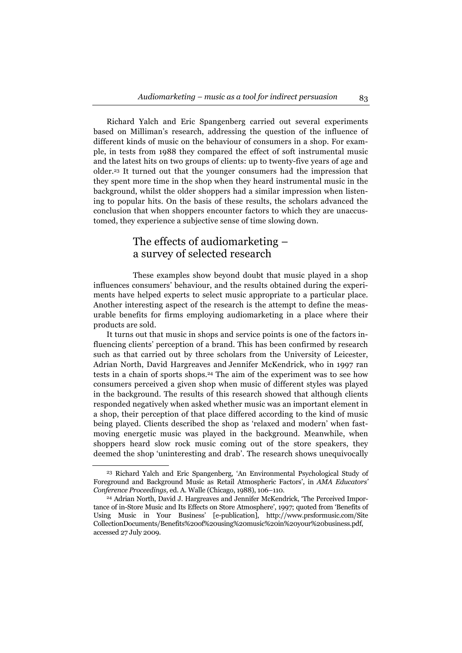Richard Yalch and Eric Spangenberg carried out several experiments based on Milliman's research, addressing the question of the influence of different kinds of music on the behaviour of consumers in a shop. For example, in tests from 1988 they compared the effect of soft instrumental music and the latest hits on two groups of clients: up to twenty-five years of age and older.23 It turned out that the younger consumers had the impression that they spent more time in the shop when they heard instrumental music in the background, whilst the older shoppers had a similar impression when listening to popular hits. On the basis of these results, the scholars advanced the conclusion that when shoppers encounter factors to which they are unaccustomed, they experience a subjective sense of time slowing down.

# The effects of audiomarketing – a survey of selected research

These examples show beyond doubt that music played in a shop influences consumers' behaviour, and the results obtained during the experiments have helped experts to select music appropriate to a particular place. Another interesting aspect of the research is the attempt to define the measurable benefits for firms employing audiomarketing in a place where their products are sold.

It turns out that music in shops and service points is one of the factors influencing clients' perception of a brand. This has been confirmed by research such as that carried out by three scholars from the University of Leicester, Adrian North, David Hargreaves and Jennifer McKendrick, who in 1997 ran tests in a chain of sports shops.24 The aim of the experiment was to see how consumers perceived a given shop when music of different styles was played in the background. The results of this research showed that although clients responded negatively when asked whether music was an important element in a shop, their perception of that place differed according to the kind of music being played. Clients described the shop as 'relaxed and modern' when fastmoving energetic music was played in the background. Meanwhile, when shoppers heard slow rock music coming out of the store speakers, they deemed the shop 'uninteresting and drab'. The research shows unequivocally

<sup>23</sup> Richard Yalch and Eric Spangenberg, 'An Environmental Psychological Study of Foreground and Background Music as Retail Atmospheric Factors', in *AMA Educators' Conference Proceedings,* ed. A. Walle (Chicago, 1988), 106–110. 24 Adrian North, David J. Hargreaves and Jennifer McKendrick, 'The Perceived Impor-

tance of in-Store Music and Its Effects on Store Atmosphere', 1997; quoted from 'Benefits of Using Music in Your Business' [e-publication], http://www.prsformusic.com/Site CollectionDocuments/Benefits%20of%20using%20music%20in%20your%20business.pdf, accessed 27 July 2009.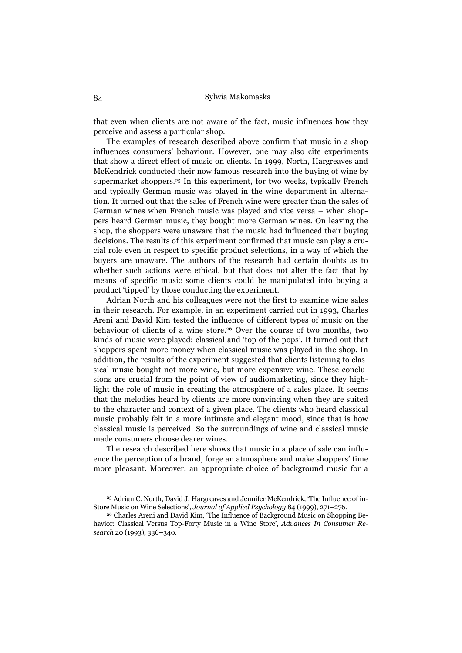that even when clients are not aware of the fact, music influences how they perceive and assess a particular shop.

The examples of research described above confirm that music in a shop influences consumers' behaviour. However, one may also cite experiments that show a direct effect of music on clients. In 1999, North, Hargreaves and McKendrick conducted their now famous research into the buying of wine by supermarket shoppers.25 In this experiment, for two weeks, typically French and typically German music was played in the wine department in alternation. It turned out that the sales of French wine were greater than the sales of German wines when French music was played and vice versa – when shoppers heard German music, they bought more German wines. On leaving the shop, the shoppers were unaware that the music had influenced their buying decisions. The results of this experiment confirmed that music can play a crucial role even in respect to specific product selections, in a way of which the buyers are unaware. The authors of the research had certain doubts as to whether such actions were ethical, but that does not alter the fact that by means of specific music some clients could be manipulated into buying a product 'tipped' by those conducting the experiment.

Adrian North and his colleagues were not the first to examine wine sales in their research. For example, in an experiment carried out in 1993, Charles Areni and David Kim tested the influence of different types of music on the behaviour of clients of a wine store.26 Over the course of two months, two kinds of music were played: classical and 'top of the pops'. It turned out that shoppers spent more money when classical music was played in the shop. In addition, the results of the experiment suggested that clients listening to classical music bought not more wine, but more expensive wine. These conclusions are crucial from the point of view of audiomarketing, since they highlight the role of music in creating the atmosphere of a sales place. It seems that the melodies heard by clients are more convincing when they are suited to the character and context of a given place. The clients who heard classical music probably felt in a more intimate and elegant mood, since that is how classical music is perceived. So the surroundings of wine and classical music made consumers choose dearer wines.

The research described here shows that music in a place of sale can influence the perception of a brand, forge an atmosphere and make shoppers' time more pleasant. Moreover, an appropriate choice of background music for a

<sup>25</sup> Adrian C. North, David J. Hargreaves and Jennifer McKendrick*,* 'The Influence of in-Store Music on Wine Selections', *Journal of Applied Psychology* 84 (1999), 271–276.<br><sup>26</sup> Charles Areni and David Kim, 'The Influence of Background Music on Shopping Be-

havior: Classical Versus Top-Forty Music in a Wine Store', *Advances In Consumer Research* 20 (1993), 336–340.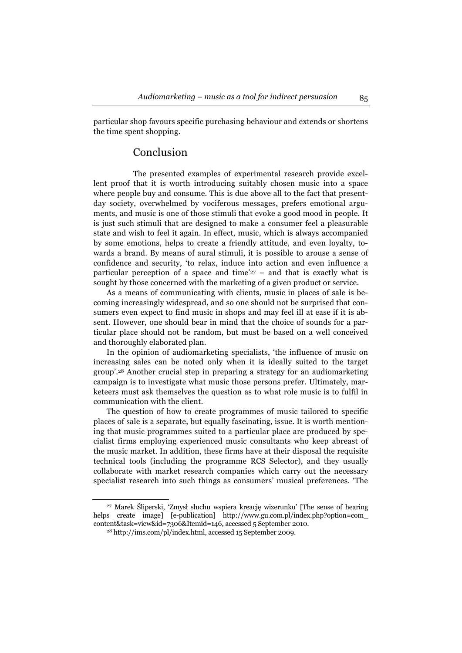particular shop favours specific purchasing behaviour and extends or shortens the time spent shopping.

#### Conclusion

The presented examples of experimental research provide excellent proof that it is worth introducing suitably chosen music into a space where people buy and consume. This is due above all to the fact that presentday society, overwhelmed by vociferous messages, prefers emotional arguments, and music is one of those stimuli that evoke a good mood in people. It is just such stimuli that are designed to make a consumer feel a pleasurable state and wish to feel it again. In effect, music, which is always accompanied by some emotions, helps to create a friendly attitude, and even loyalty, towards a brand. By means of aural stimuli, it is possible to arouse a sense of confidence and security, 'to relax, induce into action and even influence a particular perception of a space and time'<sup>27</sup> – and that is exactly what is sought by those concerned with the marketing of a given product or service.

As a means of communicating with clients, music in places of sale is becoming increasingly widespread, and so one should not be surprised that consumers even expect to find music in shops and may feel ill at ease if it is absent. However, one should bear in mind that the choice of sounds for a particular place should not be random, but must be based on a well conceived and thoroughly elaborated plan.

In the opinion of audiomarketing specialists, 'the influence of music on increasing sales can be noted only when it is ideally suited to the target group'.28 Another crucial step in preparing a strategy for an audiomarketing campaign is to investigate what music those persons prefer. Ultimately, marketeers must ask themselves the question as to what role music is to fulfil in communication with the client.

The question of how to create programmes of music tailored to specific places of sale is a separate, but equally fascinating, issue. It is worth mentioning that music programmes suited to a particular place are produced by specialist firms employing experienced music consultants who keep abreast of the music market. In addition, these firms have at their disposal the requisite technical tools (including the programme RCS Selector), and they usually collaborate with market research companies which carry out the necessary specialist research into such things as consumers' musical preferences. 'The

27 Marek Śliperski, 'Zmysł słuchu wspiera kreację wizerunku' [The sense of hearing helps create image] [e-publication] http://www.gu.com.pl/index.php?option=com\_ content&task=view&id=7306&Itemid=146, accessed 5 September 2010. 28 http://ims.com/pl/index.html, accessed 15 September 2009.